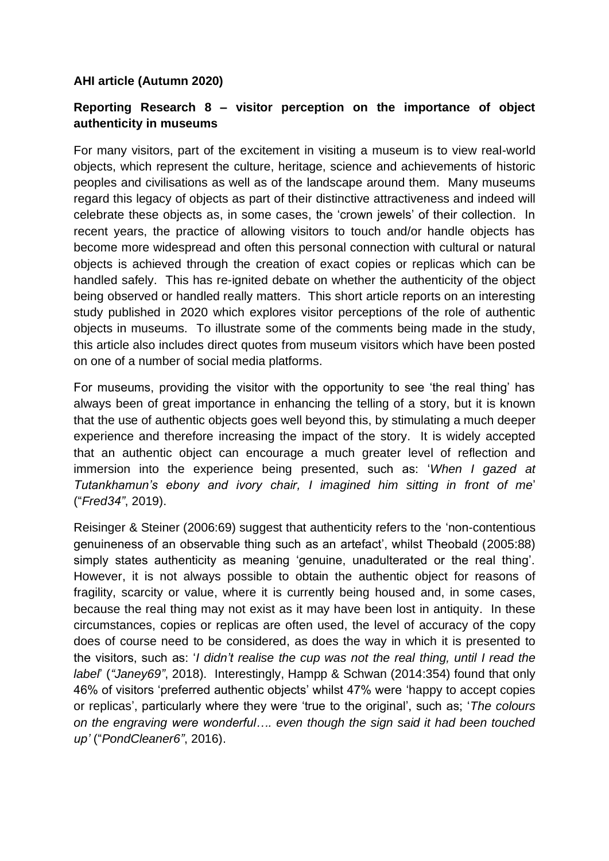## **AHI article (Autumn 2020)**

## **Reporting Research 8 – visitor perception on the importance of object authenticity in museums**

For many visitors, part of the excitement in visiting a museum is to view real-world objects, which represent the culture, heritage, science and achievements of historic peoples and civilisations as well as of the landscape around them. Many museums regard this legacy of objects as part of their distinctive attractiveness and indeed will celebrate these objects as, in some cases, the 'crown jewels' of their collection. In recent years, the practice of allowing visitors to touch and/or handle objects has become more widespread and often this personal connection with cultural or natural objects is achieved through the creation of exact copies or replicas which can be handled safely. This has re-ignited debate on whether the authenticity of the object being observed or handled really matters. This short article reports on an interesting study published in 2020 which explores visitor perceptions of the role of authentic objects in museums. To illustrate some of the comments being made in the study, this article also includes direct quotes from museum visitors which have been posted on one of a number of social media platforms.

For museums, providing the visitor with the opportunity to see 'the real thing' has always been of great importance in enhancing the telling of a story, but it is known that the use of authentic objects goes well beyond this, by stimulating a much deeper experience and therefore increasing the impact of the story. It is widely accepted that an authentic object can encourage a much greater level of reflection and immersion into the experience being presented, such as: '*When I gazed at Tutankhamun's ebony and ivory chair, I imagined him sitting in front of me*' ("*Fred34"*, 2019).

Reisinger & Steiner (2006:69) suggest that authenticity refers to the 'non-contentious genuineness of an observable thing such as an artefact', whilst Theobald (2005:88) simply states authenticity as meaning 'genuine, unadulterated or the real thing'. However, it is not always possible to obtain the authentic object for reasons of fragility, scarcity or value, where it is currently being housed and, in some cases, because the real thing may not exist as it may have been lost in antiquity. In these circumstances, copies or replicas are often used, the level of accuracy of the copy does of course need to be considered, as does the way in which it is presented to the visitors, such as: '*I didn't realise the cup was not the real thing, until I read the label*' (*"Janey69"*, 2018). Interestingly, Hampp & Schwan (2014:354) found that only 46% of visitors 'preferred authentic objects' whilst 47% were 'happy to accept copies or replicas', particularly where they were 'true to the original', such as; '*The colours on the engraving were wonderful…. even though the sign said it had been touched up'* ("*PondCleaner6"*, 2016).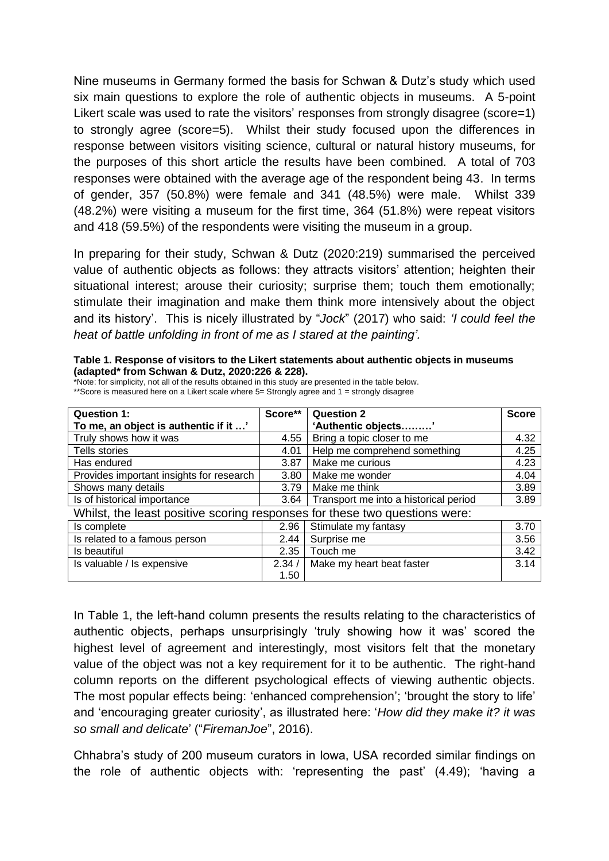Nine museums in Germany formed the basis for Schwan & Dutz's study which used six main questions to explore the role of authentic objects in museums. A 5-point Likert scale was used to rate the visitors' responses from strongly disagree (score=1) to strongly agree (score=5). Whilst their study focused upon the differences in response between visitors visiting science, cultural or natural history museums, for the purposes of this short article the results have been combined. A total of 703 responses were obtained with the average age of the respondent being 43. In terms of gender, 357 (50.8%) were female and 341 (48.5%) were male. Whilst 339 (48.2%) were visiting a museum for the first time, 364 (51.8%) were repeat visitors and 418 (59.5%) of the respondents were visiting the museum in a group.

In preparing for their study, Schwan & Dutz (2020:219) summarised the perceived value of authentic objects as follows: they attracts visitors' attention; heighten their situational interest; arouse their curiosity; surprise them; touch them emotionally; stimulate their imagination and make them think more intensively about the object and its history'. This is nicely illustrated by "*Jock*" (2017) who said: *'I could feel the heat of battle unfolding in front of me as I stared at the painting'.*

## **Table 1. Response of visitors to the Likert statements about authentic objects in museums (adapted\* from Schwan & Dutz, 2020:226 & 228).**

\*Note: for simplicity, not all of the results obtained in this study are presented in the table below. \*\* Score is measured here on a Likert scale where 5= Strongly agree and 1 = strongly disagree

| <b>Question 1:</b>                                                         | Score** | <b>Question 2</b>                     | <b>Score</b> |  |  |  |  |
|----------------------------------------------------------------------------|---------|---------------------------------------|--------------|--|--|--|--|
| To me, an object is authentic if it '                                      |         | 'Authentic objects'                   |              |  |  |  |  |
| Truly shows how it was                                                     | 4.55    | Bring a topic closer to me            | 4.32         |  |  |  |  |
| Tells stories                                                              | 4.01    | Help me comprehend something          | 4.25         |  |  |  |  |
| Has endured                                                                | 3.87    | Make me curious                       | 4.23         |  |  |  |  |
| Provides important insights for research                                   | 3.80    | Make me wonder                        | 4.04         |  |  |  |  |
| Shows many details                                                         | 3.79    | Make me think                         | 3.89         |  |  |  |  |
| Is of historical importance                                                | 3.64    | Transport me into a historical period | 3.89         |  |  |  |  |
| Whilst, the least positive scoring responses for these two questions were: |         |                                       |              |  |  |  |  |
| Is complete                                                                | 2.96    | Stimulate my fantasy                  | 3.70         |  |  |  |  |
| Is related to a famous person                                              | 2.44    | Surprise me                           | 3.56         |  |  |  |  |
| Is beautiful                                                               | 2.35    | Touch me                              | 3.42         |  |  |  |  |
| Is valuable / Is expensive                                                 | 2.34/   | Make my heart beat faster             | 3.14         |  |  |  |  |
|                                                                            | 1.50    |                                       |              |  |  |  |  |

In Table 1, the left-hand column presents the results relating to the characteristics of authentic objects, perhaps unsurprisingly 'truly showing how it was' scored the highest level of agreement and interestingly, most visitors felt that the monetary value of the object was not a key requirement for it to be authentic. The right-hand column reports on the different psychological effects of viewing authentic objects. The most popular effects being: 'enhanced comprehension'; 'brought the story to life' and 'encouraging greater curiosity', as illustrated here: '*How did they make it? it was so small and delicate*' ("*FiremanJoe*", 2016).

Chhabra's study of 200 museum curators in Iowa, USA recorded similar findings on the role of authentic objects with: 'representing the past' (4.49); 'having a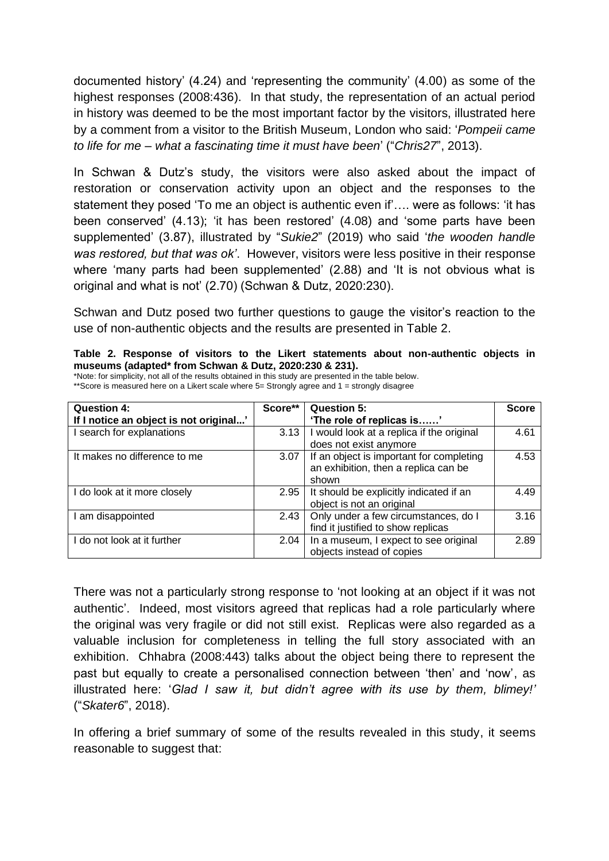documented history' (4.24) and 'representing the community' (4.00) as some of the highest responses (2008:436). In that study, the representation of an actual period in history was deemed to be the most important factor by the visitors, illustrated here by a comment from a visitor to the British Museum, London who said: '*Pompeii came to life for me – what a fascinating time it must have been*' ("*Chris27*", 2013).

In Schwan & Dutz's study, the visitors were also asked about the impact of restoration or conservation activity upon an object and the responses to the statement they posed 'To me an object is authentic even if'…. were as follows: 'it has been conserved' (4.13); 'it has been restored' (4.08) and 'some parts have been supplemented' (3.87), illustrated by "*Sukie2*" (2019) who said '*the wooden handle was restored, but that was ok'*. However, visitors were less positive in their response where 'many parts had been supplemented' (2.88) and 'It is not obvious what is original and what is not' (2.70) (Schwan & Dutz, 2020:230).

Schwan and Dutz posed two further questions to gauge the visitor's reaction to the use of non-authentic objects and the results are presented in Table 2.

|  |                                                        |  |  |  | Table 2. Response of visitors to the Likert statements about non-authentic objects in |  |
|--|--------------------------------------------------------|--|--|--|---------------------------------------------------------------------------------------|--|
|  | museums (adapted* from Schwan & Dutz, 2020:230 & 231). |  |  |  |                                                                                       |  |

| *Note: for simplicity, not all of the results obtained in this study are presented in the table below. |  |  |  |
|--------------------------------------------------------------------------------------------------------|--|--|--|
|                                                                                                        |  |  |  |

| **Score is measured here on a Likert scale where 5= Strongly agree and 1 = strongly disagree |  |
|----------------------------------------------------------------------------------------------|--|
|----------------------------------------------------------------------------------------------|--|

| <b>Question 4:</b>                     | Score** | Question 5:                                                                               | <b>Score</b> |
|----------------------------------------|---------|-------------------------------------------------------------------------------------------|--------------|
| If I notice an object is not original' |         | 'The role of replicas is'                                                                 |              |
| search for explanations                | 3.13    | I would look at a replica if the original<br>does not exist anymore                       | 4.61         |
| It makes no difference to me           | 3.07    | If an object is important for completing<br>an exhibition, then a replica can be<br>shown | 4.53         |
| I do look at it more closely           | 2.95    | It should be explicitly indicated if an<br>object is not an original                      | 4.49         |
| am disappointed                        | 2.43    | Only under a few circumstances, do I<br>find it justified to show replicas                | 3.16         |
| I do not look at it further            | 2.04    | In a museum, I expect to see original<br>objects instead of copies                        | 2.89         |

There was not a particularly strong response to 'not looking at an object if it was not authentic'. Indeed, most visitors agreed that replicas had a role particularly where the original was very fragile or did not still exist. Replicas were also regarded as a valuable inclusion for completeness in telling the full story associated with an exhibition. Chhabra (2008:443) talks about the object being there to represent the past but equally to create a personalised connection between 'then' and 'now', as illustrated here: '*Glad I saw it, but didn't agree with its use by them, blimey!'* ("*Skater6*", 2018).

In offering a brief summary of some of the results revealed in this study, it seems reasonable to suggest that: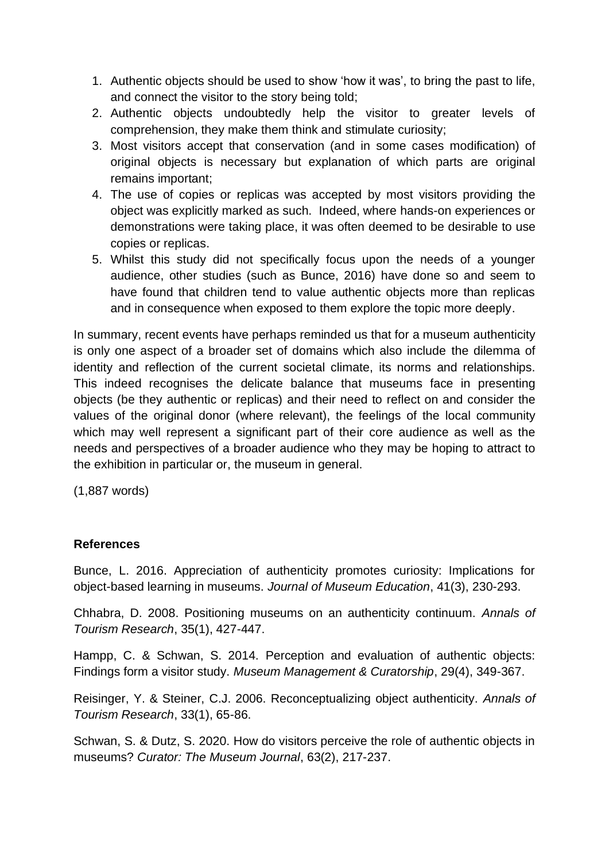- 1. Authentic objects should be used to show 'how it was', to bring the past to life, and connect the visitor to the story being told;
- 2. Authentic objects undoubtedly help the visitor to greater levels of comprehension, they make them think and stimulate curiosity;
- 3. Most visitors accept that conservation (and in some cases modification) of original objects is necessary but explanation of which parts are original remains important;
- 4. The use of copies or replicas was accepted by most visitors providing the object was explicitly marked as such. Indeed, where hands-on experiences or demonstrations were taking place, it was often deemed to be desirable to use copies or replicas.
- 5. Whilst this study did not specifically focus upon the needs of a younger audience, other studies (such as Bunce, 2016) have done so and seem to have found that children tend to value authentic objects more than replicas and in consequence when exposed to them explore the topic more deeply.

In summary, recent events have perhaps reminded us that for a museum authenticity is only one aspect of a broader set of domains which also include the dilemma of identity and reflection of the current societal climate, its norms and relationships. This indeed recognises the delicate balance that museums face in presenting objects (be they authentic or replicas) and their need to reflect on and consider the values of the original donor (where relevant), the feelings of the local community which may well represent a significant part of their core audience as well as the needs and perspectives of a broader audience who they may be hoping to attract to the exhibition in particular or, the museum in general.

(1,887 words)

## **References**

Bunce, L. 2016. Appreciation of authenticity promotes curiosity: Implications for object-based learning in museums. *Journal of Museum Education*, 41(3), 230-293.

Chhabra, D. 2008. Positioning museums on an authenticity continuum. *Annals of Tourism Research*, 35(1), 427-447.

Hampp, C. & Schwan, S. 2014. Perception and evaluation of authentic objects: Findings form a visitor study. *Museum Management & Curatorship*, 29(4), 349-367.

Reisinger, Y. & Steiner, C.J. 2006. Reconceptualizing object authenticity. *Annals of Tourism Research*, 33(1), 65-86.

Schwan, S. & Dutz, S. 2020. How do visitors perceive the role of authentic objects in museums? *Curator: The Museum Journal*, 63(2), 217-237.